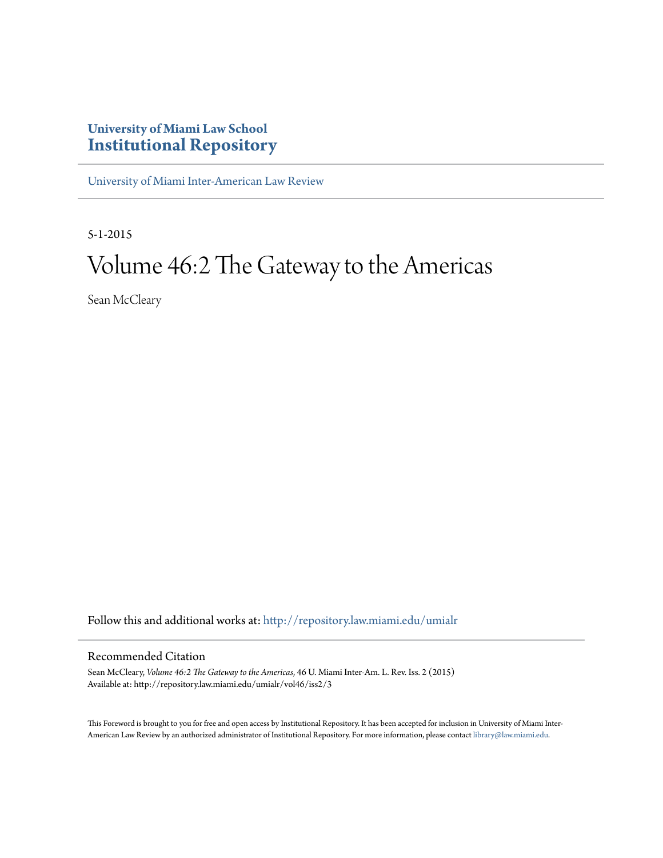## **University of Miami Law School [Institutional Repository](http://repository.law.miami.edu?utm_source=repository.law.miami.edu%2Fumialr%2Fvol46%2Fiss2%2F3&utm_medium=PDF&utm_campaign=PDFCoverPages)**

[University of Miami Inter-American Law Review](http://repository.law.miami.edu/umialr?utm_source=repository.law.miami.edu%2Fumialr%2Fvol46%2Fiss2%2F3&utm_medium=PDF&utm_campaign=PDFCoverPages)

5-1-2015

# Volume 46:2 The Gateway to the Americas

Sean McCleary

Follow this and additional works at: [http://repository.law.miami.edu/umialr](http://repository.law.miami.edu/umialr?utm_source=repository.law.miami.edu%2Fumialr%2Fvol46%2Fiss2%2F3&utm_medium=PDF&utm_campaign=PDFCoverPages)

### Recommended Citation

Sean McCleary, *Volume 46:2 The Gateway to the Americas*, 46 U. Miami Inter-Am. L. Rev. Iss. 2 (2015) Available at: http://repository.law.miami.edu/umialr/vol46/iss2/3

This Foreword is brought to you for free and open access by Institutional Repository. It has been accepted for inclusion in University of Miami Inter-American Law Review by an authorized administrator of Institutional Repository. For more information, please contact [library@law.miami.edu](mailto:library@law.miami.edu).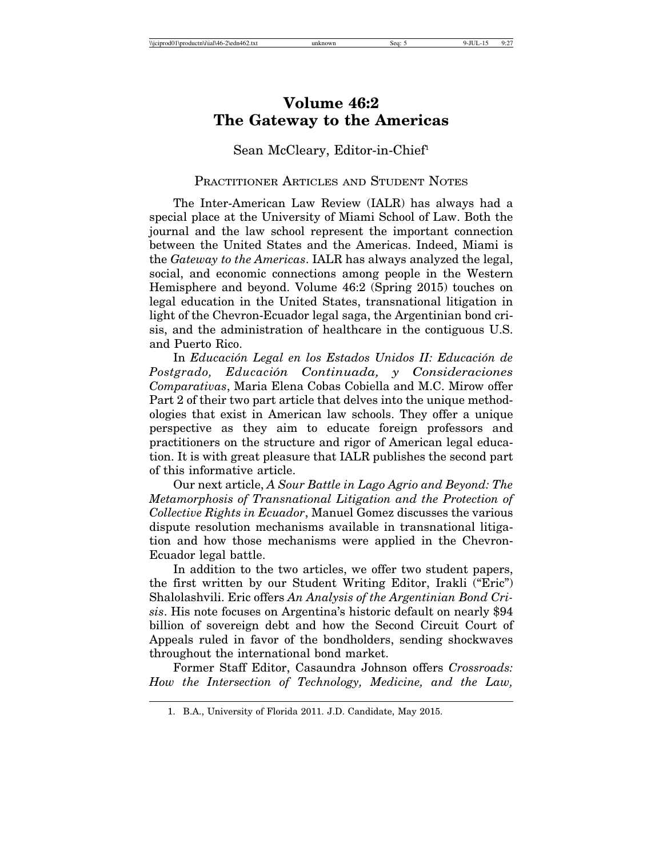## **Volume 46:2 The Gateway to the Americas**

Sean McCleary, Editor-in-Chief<sup>1</sup>

#### PRACTITIONER ARTICLES AND STUDENT NOTES

The Inter-American Law Review (IALR) has always had a special place at the University of Miami School of Law. Both the journal and the law school represent the important connection between the United States and the Americas. Indeed, Miami is the *Gateway to the Americas*. IALR has always analyzed the legal, social, and economic connections among people in the Western Hemisphere and beyond. Volume 46:2 (Spring 2015) touches on legal education in the United States, transnational litigation in light of the Chevron-Ecuador legal saga, the Argentinian bond crisis, and the administration of healthcare in the contiguous U.S. and Puerto Rico.

In *Educación Legal en los Estados Unidos II: Educación de Postgrado, Educaci´on Continuada, y Consideraciones Comparativas*, Maria Elena Cobas Cobiella and M.C. Mirow offer Part 2 of their two part article that delves into the unique methodologies that exist in American law schools. They offer a unique perspective as they aim to educate foreign professors and practitioners on the structure and rigor of American legal education. It is with great pleasure that IALR publishes the second part of this informative article.

Our next article, *A Sour Battle in Lago Agrio and Beyond: The Metamorphosis of Transnational Litigation and the Protection of Collective Rights in Ecuador*, Manuel Gomez discusses the various dispute resolution mechanisms available in transnational litigation and how those mechanisms were applied in the Chevron-Ecuador legal battle.

In addition to the two articles, we offer two student papers, the first written by our Student Writing Editor, Irakli ("Eric") Shalolashvili. Eric offers *An Analysis of the Argentinian Bond Crisis*. His note focuses on Argentina's historic default on nearly \$94 billion of sovereign debt and how the Second Circuit Court of Appeals ruled in favor of the bondholders, sending shockwaves throughout the international bond market.

Former Staff Editor, Casaundra Johnson offers *Crossroads: How the Intersection of Technology, Medicine, and the Law,*

<sup>1.</sup> B.A., University of Florida 2011. J.D. Candidate, May 2015.